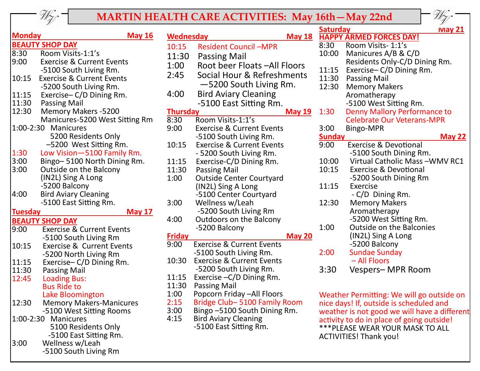

## **MARTIN HEALTH CARE ACTIVITIES: May 16th—May 22nd**

WG.

| <b>Monday</b>                                       | <b>May 16</b>                                             |  |  |  |  |  |
|-----------------------------------------------------|-----------------------------------------------------------|--|--|--|--|--|
|                                                     | <b>BEAUTY SHOP DAY</b>                                    |  |  |  |  |  |
| 8:30                                                | Room Visits-1:1's                                         |  |  |  |  |  |
| 9:00                                                | <b>Exercise &amp; Current Events</b>                      |  |  |  |  |  |
|                                                     | -5100 South Living Rm.                                    |  |  |  |  |  |
| 10:15                                               | <b>Exercise &amp; Current Events</b>                      |  |  |  |  |  |
|                                                     | -5200 South Living Rm.                                    |  |  |  |  |  |
| 11:15                                               | Exercise-C/D Dining Rm.                                   |  |  |  |  |  |
| 11:30                                               | <b>Passing Mail</b>                                       |  |  |  |  |  |
| 12:30                                               | <b>Memory Makers -5200</b>                                |  |  |  |  |  |
|                                                     | Manicures-5200 West Sitting Rm                            |  |  |  |  |  |
|                                                     | 1:00-2:30 Manicures                                       |  |  |  |  |  |
|                                                     | 5200 Residents Only                                       |  |  |  |  |  |
|                                                     | -5200 West Sitting Rm.                                    |  |  |  |  |  |
| 1:30                                                |                                                           |  |  |  |  |  |
| 3:00                                                | Low Vision-5100 Family Rm.<br>Bingo-5100 North Dining Rm. |  |  |  |  |  |
| 3:00                                                |                                                           |  |  |  |  |  |
| <b>Outside on the Balcony</b><br>(IN2L) Sing A Long |                                                           |  |  |  |  |  |
|                                                     | -5200 Balcony                                             |  |  |  |  |  |
| 4:00                                                |                                                           |  |  |  |  |  |
|                                                     | <b>Bird Aviary Cleaning</b>                               |  |  |  |  |  |
|                                                     | -5100 East Sitting Rm.                                    |  |  |  |  |  |
| <b>Tuesday</b>                                      | <u>May 17</u>                                             |  |  |  |  |  |
|                                                     | <b>BEAUTY SHOP DAY</b>                                    |  |  |  |  |  |
| 9:00                                                | <b>Exercise &amp; Current Events</b>                      |  |  |  |  |  |
|                                                     | -5100 South Living Rm                                     |  |  |  |  |  |
| 10:15                                               | <b>Exercise &amp; Current Events</b>                      |  |  |  |  |  |
|                                                     | -5200 North Living Rm                                     |  |  |  |  |  |
| 11:15                                               | Exercise-C/D Dining Rm.                                   |  |  |  |  |  |
| 11:30                                               | <b>Passing Mail</b>                                       |  |  |  |  |  |
| 12:45                                               | <b>Loading Bus:</b>                                       |  |  |  |  |  |
|                                                     | <b>Bus Ride to</b>                                        |  |  |  |  |  |
|                                                     | Lake Bloomington                                          |  |  |  |  |  |
| 12:30                                               | <b>Memory Makers-Manicures</b>                            |  |  |  |  |  |
|                                                     | -5100 West Sitting Rooms                                  |  |  |  |  |  |
|                                                     | 1:00-2:30 Manicures                                       |  |  |  |  |  |
|                                                     | 5100 Residents Only                                       |  |  |  |  |  |
|                                                     | -5100 East Sitting Rm.                                    |  |  |  |  |  |
| 3:00                                                | Wellness w/Leah                                           |  |  |  |  |  |
|                                                     | -5100 South Living Rm                                     |  |  |  |  |  |

| <b>Wednesday</b> | <b>May 18</b>                                   |  |  |  |
|------------------|-------------------------------------------------|--|--|--|
| 10:15            | <b>Resident Council -MPR</b>                    |  |  |  |
| 11:30            | Passing Mail                                    |  |  |  |
| 1:00             | Root beer Floats -All Floors                    |  |  |  |
| 2:45             | Social Hour & Refreshments                      |  |  |  |
|                  | -5200 South Living Rm.                          |  |  |  |
| 4:00             | <b>Bird Aviary Cleaning</b>                     |  |  |  |
|                  | -5100 East Sitting Rm.                          |  |  |  |
| <b>Thursday</b>  | <u>May 19</u>                                   |  |  |  |
| 8:30             | Room Visits-1:1's                               |  |  |  |
| 9:00             | <b>Exercise &amp; Current Events</b>            |  |  |  |
|                  | -5100 South Living Rm.                          |  |  |  |
| 10:15            | <b>Exercise &amp; Current Events</b>            |  |  |  |
|                  | - 5200 South Living Rm.                         |  |  |  |
| 11:15            | Exercise-C/D Dining Rm.                         |  |  |  |
| 11:30            | <b>Passing Mail</b>                             |  |  |  |
| 1:00             | <b>Outside Center Courtyard</b>                 |  |  |  |
|                  | (IN2L) Sing A Long                              |  |  |  |
|                  | -5100 Center Courtyard                          |  |  |  |
| 3:00             | Wellness w/Leah                                 |  |  |  |
| 4:00             | -5200 South Living Rm                           |  |  |  |
|                  | <b>Outdoors on the Balcony</b><br>-5200 Balcony |  |  |  |
| <u>Friday</u>    | <u>May 20</u>                                   |  |  |  |
| 9:00             | <b>Exercise &amp; Current Events</b>            |  |  |  |
|                  | -5100 South Living Rm.                          |  |  |  |
| 10:30            | <b>Exercise &amp; Current Events</b>            |  |  |  |
|                  | -5200 South Living Rm.                          |  |  |  |
| 11:15            | Exercise - C/D Dining Rm.                       |  |  |  |
| 11:30            | <b>Passing Mail</b>                             |  |  |  |
| 1:00             | Popcorn Friday - All Floors                     |  |  |  |
| 2:15             | Bridge Club-5100 Family Room                    |  |  |  |
| 3:00             | Bingo -5100 South Dining Rm.                    |  |  |  |
| 4:15             | <b>Bird Aviary Cleaning</b>                     |  |  |  |
|                  | -5100 East Sitting Rm.                          |  |  |  |
|                  |                                                 |  |  |  |

|               | V                                   |
|---------------|-------------------------------------|
| Saturday      | <u>iviay 21</u>                     |
|               | <b>HAPPY ARMED FORCES DAY!</b>      |
| 8:30          | Room Visits-1:1's                   |
| 10:00         | Manicures A/B & C/D                 |
|               | Residents Only-C/D Dining Rm.       |
| 11:15         | Exercise-C/D Dining Rm.             |
| 11:30         | <b>Passing Mail</b>                 |
| 12:30         | <b>Memory Makers</b>                |
|               | Aromatherapy                        |
|               | -5100 West Sitting Rm.              |
| 1:30          | <b>Denny Mallory Performance to</b> |
|               | <b>Celebrate Our Veterans-MPR</b>   |
| 3:00          | <b>Bingo-MPR</b>                    |
| <b>Sunday</b> | <u>May 22</u>                       |
| 9:00          | <b>Exercise &amp; Devotional</b>    |
|               | -5100 South Dining Rm.              |
| 10:00         | Virtual Catholic Mass-WMV RC1       |
| 10:15         | <b>Exercise &amp; Devotional</b>    |
|               | -5200 South Dining Rm               |
| 11:15         | Exercise                            |
|               | - C/D Dining Rm.                    |
| 12:30         | <b>Memory Makers</b>                |
|               | Aromatherapy                        |
|               | -5200 West Sitting Rm.              |
| 1:00          | <b>Outside on the Balconies</b>     |
|               | (IN2L) Sing A Long                  |
|               | -5200 Balcony                       |
| 2:00          | <b>Sundae Sunday</b>                |
|               | - All Floors                        |
| 3:30          | Vespers- MPR Room                   |
|               |                                     |

Weather Permitting: We will go outside on nice days! If, outside is scheduled and weather is not good we will have a different activity to do in place of going outside! \*\*\*PLEASE WEAR YOUR MASK TO ALL ACTIVITIES! Thank you!